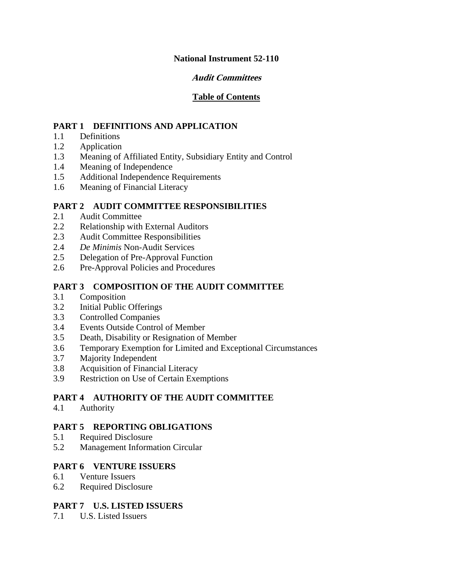### **National Instrument 52-110**

### **Audit Committees**

### **Table of Contents**

### **PART 1 [DEFINITIONS AND APPLICATION](#page-2-0)**

- [1.1 Definitions](#page-2-0)
- [1.2 Application](#page-3-0)
- [1.3 Meaning of Affiliated Entity, Subsidiary Entity and Control](#page-4-0)
- [1.4 Meaning of Independence](#page-5-0)
- [1.5 Additional Independence Requirements](#page-7-0)
- [1.6 Meaning of Financial Literacy](#page-7-0)

### **PART 2 [AUDIT COMMITTEE RESPONSIBILITIES](#page-8-0)**

- [2.1 Audit Committee](#page-8-0)
- [2.2 Relationship with External Auditors](#page-8-0)
- [2.3 Audit Committee Responsibilities](#page-8-0)
- 2.4 *De Minimis* [Non-Audit Services](#page-9-0)
- [2.5 Delegation of Pre-Approval Function](#page-9-0)
- [2.6 Pre-Approval Policies and Procedures](#page-9-0)

### **PART 3 [COMPOSITION OF THE AUDIT COMMITTEE](#page-10-0)**

- [3.1 Composition](#page-10-0)
- [3.2 Initial Public Offerings](#page-10-0)
- [3.3 Controlled Companies](#page-10-0)
- [3.4 Events Outside Control of Member](#page-11-0)
- [3.5 Death, Disability or Resignation of Member](#page-11-0)
- [3.6 Temporary Exemption for Limited and Exceptional Circumstances](#page-11-0)
- [3.7 Majority Independent](#page-12-0)
- [3.8 Acquisition of Financial Literacy](#page-12-0)
- [3.9 Restriction on Use of Certain Exemptions](#page-12-0)

### **PART 4 [AUTHORITY OF THE AUDIT COMMITTEE](#page-12-0)**

[4.1 Authority](#page-12-0)

### **PART 5 [REPORTING OBLIGATIONS](#page-12-0)**

- [5.1 Required Disclosure](#page-12-0)
- [5.2 Management Information Circular](#page-13-0)

### **PART 6 [VENTURE ISSUERS](#page-13-0)**

- [6.1 Venture Issuers](#page-13-0)
- [6.2 Required Disclosure](#page-13-0)

### **PART 7 [U.S. LISTED ISSUERS](#page-13-0)**

[7.1 U.S. Listed Issuers](#page-13-0)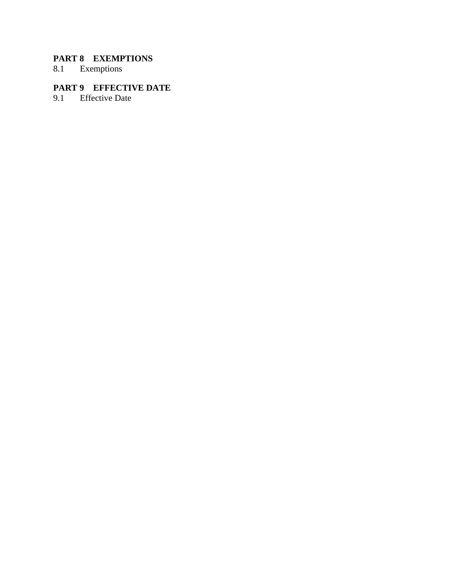# **PART 8 [EXEMPTIONS](#page-13-0)**

[8.1 Exemptions](#page-13-0)

# **PART 9 [EFFECTIVE DATE](#page-14-0)**

[9.1 Effective Date](#page-14-0)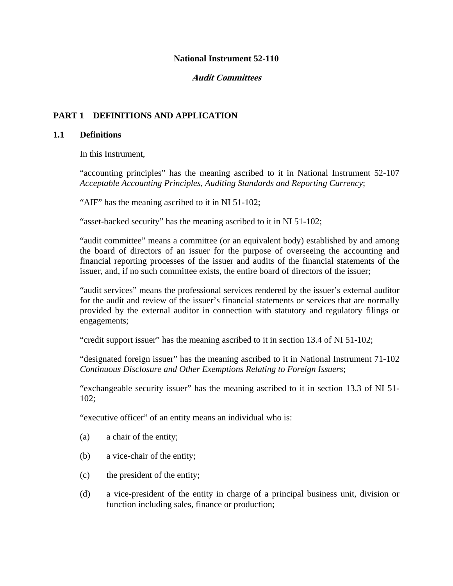### **National Instrument 52-110**

### **Audit Committees**

### <span id="page-2-0"></span>**PART 1 DEFINITIONS AND APPLICATION**

#### **1.1 Definitions**

In this Instrument,

"accounting principles" has the meaning ascribed to it in National Instrument 52-107 *Acceptable Accounting Principles, Auditing Standards and Reporting Currency*;

"AIF" has the meaning ascribed to it in NI 51-102;

"asset-backed security" has the meaning ascribed to it in NI 51-102;

"audit committee" means a committee (or an equivalent body) established by and among the board of directors of an issuer for the purpose of overseeing the accounting and financial reporting processes of the issuer and audits of the financial statements of the issuer, and, if no such committee exists, the entire board of directors of the issuer;

"audit services" means the professional services rendered by the issuer's external auditor for the audit and review of the issuer's financial statements or services that are normally provided by the external auditor in connection with statutory and regulatory filings or engagements;

"credit support issuer" has the meaning ascribed to it in section 13.4 of NI 51-102;

"designated foreign issuer" has the meaning ascribed to it in National Instrument 71-102 *Continuous Disclosure and Other Exemptions Relating to Foreign Issuers*;

"exchangeable security issuer" has the meaning ascribed to it in section 13.3 of NI 51- 102;

"executive officer" of an entity means an individual who is:

- (a) a chair of the entity;
- (b) a vice-chair of the entity;
- (c) the president of the entity;
- (d) a vice-president of the entity in charge of a principal business unit, division or function including sales, finance or production;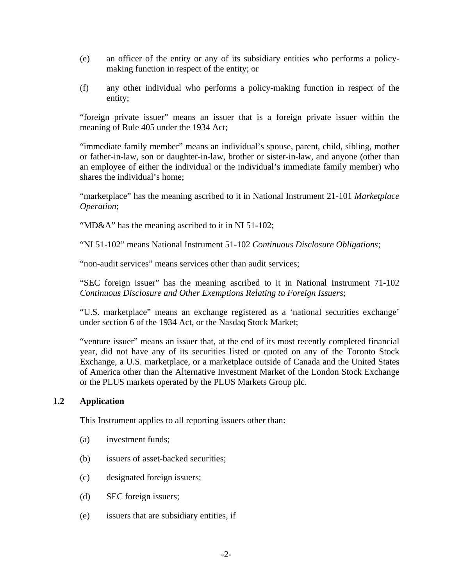- <span id="page-3-0"></span>(e) an officer of the entity or any of its subsidiary entities who performs a policymaking function in respect of the entity; or
- (f) any other individual who performs a policy-making function in respect of the entity;

"foreign private issuer" means an issuer that is a foreign private issuer within the meaning of Rule 405 under the 1934 Act;

"immediate family member" means an individual's spouse, parent, child, sibling, mother or father-in-law, son or daughter-in-law, brother or sister-in-law, and anyone (other than an employee of either the individual or the individual's immediate family member) who shares the individual's home;

"marketplace" has the meaning ascribed to it in National Instrument 21-101 *Marketplace Operation*;

"MD&A" has the meaning ascribed to it in NI 51-102;

"NI 51-102" means National Instrument 51-102 *Continuous Disclosure Obligations*;

"non-audit services" means services other than audit services;

"SEC foreign issuer" has the meaning ascribed to it in National Instrument 71-102 *Continuous Disclosure and Other Exemptions Relating to Foreign Issuers*;

"U.S. marketplace" means an exchange registered as a 'national securities exchange' under section 6 of the 1934 Act, or the Nasdaq Stock Market;

"venture issuer" means an issuer that, at the end of its most recently completed financial year, did not have any of its securities listed or quoted on any of the Toronto Stock Exchange, a U.S. marketplace, or a marketplace outside of Canada and the United States of America other than the Alternative Investment Market of the London Stock Exchange or the PLUS markets operated by the PLUS Markets Group plc.

### **1.2 Application**

This Instrument applies to all reporting issuers other than:

- (a) investment funds;
- (b) issuers of asset-backed securities;
- (c) designated foreign issuers;
- (d) SEC foreign issuers;
- (e) issuers that are subsidiary entities, if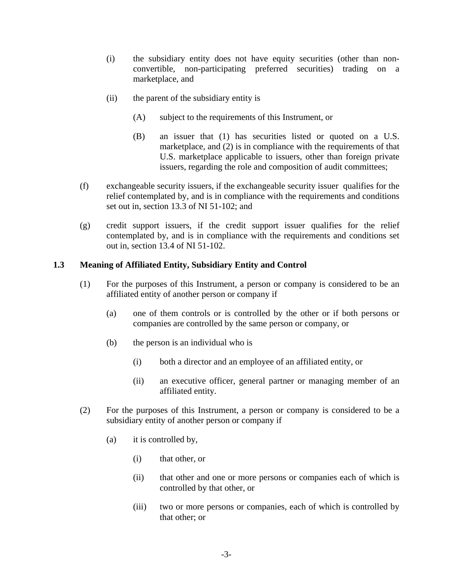- <span id="page-4-0"></span>(i) the subsidiary entity does not have equity securities (other than nonconvertible, non-participating preferred securities) trading on a marketplace, and
- (ii) the parent of the subsidiary entity is
	- (A) subject to the requirements of this Instrument, or
	- (B) an issuer that (1) has securities listed or quoted on a U.S. marketplace, and (2) is in compliance with the requirements of that U.S. marketplace applicable to issuers, other than foreign private issuers, regarding the role and composition of audit committees;
- (f) exchangeable security issuers, if the exchangeable security issuer qualifies for the relief contemplated by, and is in compliance with the requirements and conditions set out in, section 13.3 of NI 51-102; and
- (g) credit support issuers, if the credit support issuer qualifies for the relief contemplated by, and is in compliance with the requirements and conditions set out in, section 13.4 of NI 51-102.

### **1.3 Meaning of Affiliated Entity, Subsidiary Entity and Control**

- (1) For the purposes of this Instrument, a person or company is considered to be an affiliated entity of another person or company if
	- (a) one of them controls or is controlled by the other or if both persons or companies are controlled by the same person or company, or
	- (b) the person is an individual who is
		- (i) both a director and an employee of an affiliated entity, or
		- (ii) an executive officer, general partner or managing member of an affiliated entity.
- (2) For the purposes of this Instrument, a person or company is considered to be a subsidiary entity of another person or company if
	- (a) it is controlled by,
		- (i) that other, or
		- (ii) that other and one or more persons or companies each of which is controlled by that other, or
		- (iii) two or more persons or companies, each of which is controlled by that other; or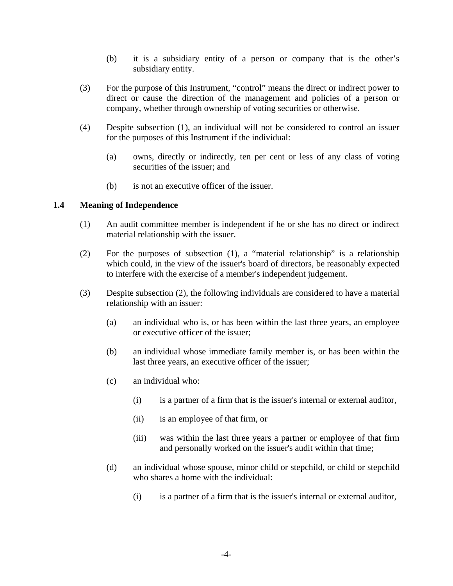- (b) it is a subsidiary entity of a person or company that is the other's subsidiary entity.
- <span id="page-5-0"></span>(3) For the purpose of this Instrument, "control" means the direct or indirect power to direct or cause the direction of the management and policies of a person or company, whether through ownership of voting securities or otherwise.
- (4) Despite subsection (1), an individual will not be considered to control an issuer for the purposes of this Instrument if the individual:
	- (a) owns, directly or indirectly, ten per cent or less of any class of voting securities of the issuer; and
	- (b) is not an executive officer of the issuer.

### **1.4 Meaning of Independence**

- (1) An audit committee member is independent if he or she has no direct or indirect material relationship with the issuer.
- (2) For the purposes of subsection (1), a "material relationship" is a relationship which could, in the view of the issuer's board of directors, be reasonably expected to interfere with the exercise of a member's independent judgement.
- (3) Despite subsection (2), the following individuals are considered to have a material relationship with an issuer:
	- (a) an individual who is, or has been within the last three years, an employee or executive officer of the issuer;
	- (b) an individual whose immediate family member is, or has been within the last three years, an executive officer of the issuer;
	- (c) an individual who:
		- (i) is a partner of a firm that is the issuer's internal or external auditor,
		- (ii) is an employee of that firm, or
		- (iii) was within the last three years a partner or employee of that firm and personally worked on the issuer's audit within that time;
	- (d) an individual whose spouse, minor child or stepchild, or child or stepchild who shares a home with the individual:
		- (i) is a partner of a firm that is the issuer's internal or external auditor,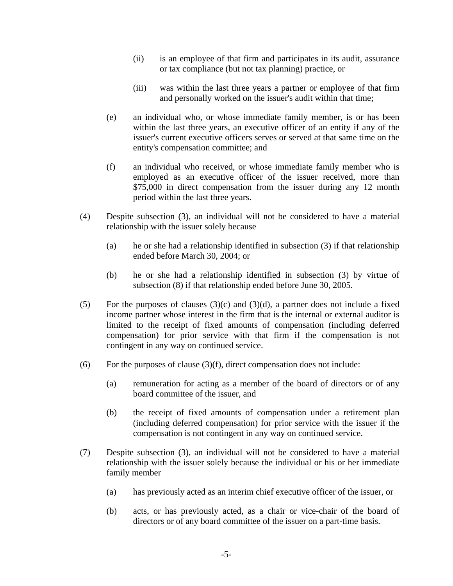- (ii) is an employee of that firm and participates in its audit, assurance or tax compliance (but not tax planning) practice, or
- (iii) was within the last three years a partner or employee of that firm and personally worked on the issuer's audit within that time;
- (e) an individual who, or whose immediate family member, is or has been within the last three years, an executive officer of an entity if any of the issuer's current executive officers serves or served at that same time on the entity's compensation committee; and
- (f) an individual who received, or whose immediate family member who is employed as an executive officer of the issuer received, more than \$75,000 in direct compensation from the issuer during any 12 month period within the last three years.
- (4) Despite subsection (3), an individual will not be considered to have a material relationship with the issuer solely because
	- (a) he or she had a relationship identified in subsection (3) if that relationship ended before March 30, 2004; or
	- (b) he or she had a relationship identified in subsection (3) by virtue of subsection (8) if that relationship ended before June 30, 2005.
- (5) For the purposes of clauses  $(3)(c)$  and  $(3)(d)$ , a partner does not include a fixed income partner whose interest in the firm that is the internal or external auditor is limited to the receipt of fixed amounts of compensation (including deferred compensation) for prior service with that firm if the compensation is not contingent in any way on continued service.
- (6) For the purposes of clause  $(3)(f)$ , direct compensation does not include:
	- (a) remuneration for acting as a member of the board of directors or of any board committee of the issuer, and
	- (b) the receipt of fixed amounts of compensation under a retirement plan (including deferred compensation) for prior service with the issuer if the compensation is not contingent in any way on continued service.
- (7) Despite subsection (3), an individual will not be considered to have a material relationship with the issuer solely because the individual or his or her immediate family member
	- (a) has previously acted as an interim chief executive officer of the issuer, or
	- (b) acts, or has previously acted, as a chair or vice-chair of the board of directors or of any board committee of the issuer on a part-time basis.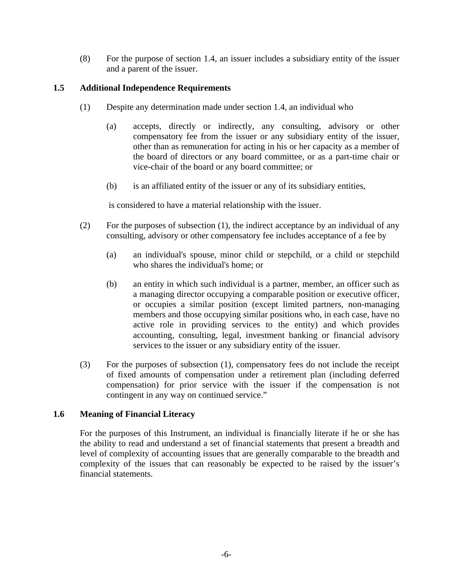<span id="page-7-0"></span>(8) For the purpose of section 1.4, an issuer includes a subsidiary entity of the issuer and a parent of the issuer.

### **1.5 Additional Independence Requirements**

- (1) Despite any determination made under section 1.4, an individual who
	- (a) accepts, directly or indirectly, any consulting, advisory or other compensatory fee from the issuer or any subsidiary entity of the issuer, other than as remuneration for acting in his or her capacity as a member of the board of directors or any board committee, or as a part-time chair or vice-chair of the board or any board committee; or
	- (b) is an affiliated entity of the issuer or any of its subsidiary entities,

is considered to have a material relationship with the issuer.

- (2) For the purposes of subsection (1), the indirect acceptance by an individual of any consulting, advisory or other compensatory fee includes acceptance of a fee by
	- (a) an individual's spouse, minor child or stepchild, or a child or stepchild who shares the individual's home; or
	- (b) an entity in which such individual is a partner, member, an officer such as a managing director occupying a comparable position or executive officer, or occupies a similar position (except limited partners, non-managing members and those occupying similar positions who, in each case, have no active role in providing services to the entity) and which provides accounting, consulting, legal, investment banking or financial advisory services to the issuer or any subsidiary entity of the issuer.
- (3) For the purposes of subsection (1), compensatory fees do not include the receipt of fixed amounts of compensation under a retirement plan (including deferred compensation) for prior service with the issuer if the compensation is not contingent in any way on continued service."

### **1.6 Meaning of Financial Literacy**

For the purposes of this Instrument, an individual is financially literate if he or she has the ability to read and understand a set of financial statements that present a breadth and level of complexity of accounting issues that are generally comparable to the breadth and complexity of the issues that can reasonably be expected to be raised by the issuer's financial statements.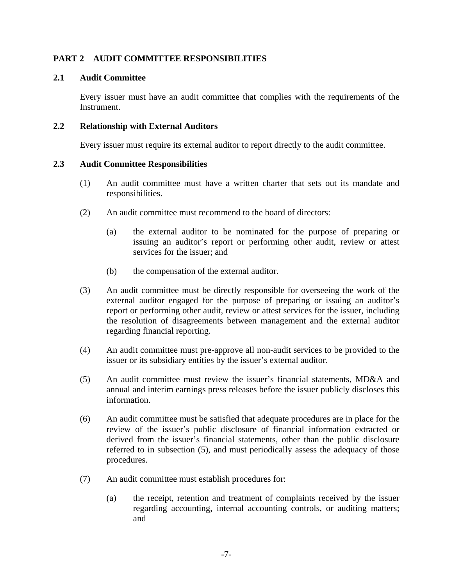### <span id="page-8-0"></span>**PART 2 AUDIT COMMITTEE RESPONSIBILITIES**

### **2.1 Audit Committee**

Every issuer must have an audit committee that complies with the requirements of the Instrument.

#### **2.2 Relationship with External Auditors**

Every issuer must require its external auditor to report directly to the audit committee.

### **2.3 Audit Committee Responsibilities**

- (1) An audit committee must have a written charter that sets out its mandate and responsibilities.
- (2) An audit committee must recommend to the board of directors:
	- (a) the external auditor to be nominated for the purpose of preparing or issuing an auditor's report or performing other audit, review or attest services for the issuer; and
	- (b) the compensation of the external auditor.
- (3) An audit committee must be directly responsible for overseeing the work of the external auditor engaged for the purpose of preparing or issuing an auditor's report or performing other audit, review or attest services for the issuer, including the resolution of disagreements between management and the external auditor regarding financial reporting.
- (4) An audit committee must pre-approve all non-audit services to be provided to the issuer or its subsidiary entities by the issuer's external auditor.
- (5) An audit committee must review the issuer's financial statements, MD&A and annual and interim earnings press releases before the issuer publicly discloses this information.
- (6) An audit committee must be satisfied that adequate procedures are in place for the review of the issuer's public disclosure of financial information extracted or derived from the issuer's financial statements, other than the public disclosure referred to in subsection (5), and must periodically assess the adequacy of those procedures.
- (7) An audit committee must establish procedures for:
	- (a) the receipt, retention and treatment of complaints received by the issuer regarding accounting, internal accounting controls, or auditing matters; and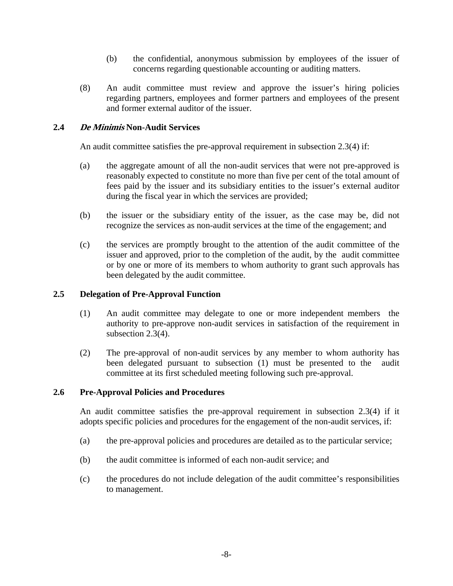- (b) the confidential, anonymous submission by employees of the issuer of concerns regarding questionable accounting or auditing matters.
- <span id="page-9-0"></span>(8) An audit committee must review and approve the issuer's hiring policies regarding partners, employees and former partners and employees of the present and former external auditor of the issuer.

### **2.4 De Minimis Non-Audit Services**

An audit committee satisfies the pre-approval requirement in subsection 2.3(4) if:

- (a) the aggregate amount of all the non-audit services that were not pre-approved is reasonably expected to constitute no more than five per cent of the total amount of fees paid by the issuer and its subsidiary entities to the issuer's external auditor during the fiscal year in which the services are provided;
- (b) the issuer or the subsidiary entity of the issuer, as the case may be, did not recognize the services as non-audit services at the time of the engagement; and
- (c) the services are promptly brought to the attention of the audit committee of the issuer and approved, prior to the completion of the audit, by the audit committee or by one or more of its members to whom authority to grant such approvals has been delegated by the audit committee.

### **2.5 Delegation of Pre-Approval Function**

- (1) An audit committee may delegate to one or more independent members the authority to pre-approve non-audit services in satisfaction of the requirement in subsection 2.3(4).
- (2) The pre-approval of non-audit services by any member to whom authority has been delegated pursuant to subsection (1) must be presented to the audit committee at its first scheduled meeting following such pre-approval.

### **2.6 Pre-Approval Policies and Procedures**

An audit committee satisfies the pre-approval requirement in subsection 2.3(4) if it adopts specific policies and procedures for the engagement of the non-audit services, if:

- (a) the pre-approval policies and procedures are detailed as to the particular service;
- (b) the audit committee is informed of each non-audit service; and
- (c) the procedures do not include delegation of the audit committee's responsibilities to management.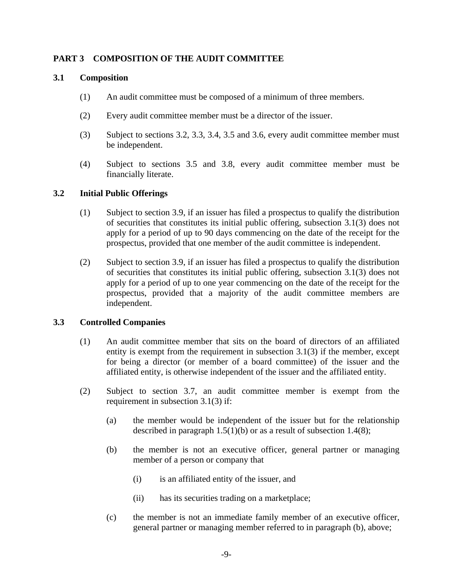### <span id="page-10-0"></span>**PART 3 COMPOSITION OF THE AUDIT COMMITTEE**

### **3.1 Composition**

- (1) An audit committee must be composed of a minimum of three members.
- (2) Every audit committee member must be a director of the issuer.
- (3) Subject to sections 3.2, 3.3, 3.4, 3.5 and 3.6, every audit committee member must be independent.
- (4) Subject to sections 3.5 and 3.8, every audit committee member must be financially literate.

### **3.2 Initial Public Offerings**

- (1) Subject to section 3.9, if an issuer has filed a prospectus to qualify the distribution of securities that constitutes its initial public offering, subsection 3.1(3) does not apply for a period of up to 90 days commencing on the date of the receipt for the prospectus, provided that one member of the audit committee is independent.
- (2) Subject to section 3.9, if an issuer has filed a prospectus to qualify the distribution of securities that constitutes its initial public offering, subsection 3.1(3) does not apply for a period of up to one year commencing on the date of the receipt for the prospectus, provided that a majority of the audit committee members are independent.

### **3.3 Controlled Companies**

- (1) An audit committee member that sits on the board of directors of an affiliated entity is exempt from the requirement in subsection 3.1(3) if the member, except for being a director (or member of a board committee) of the issuer and the affiliated entity, is otherwise independent of the issuer and the affiliated entity.
- (2) Subject to section 3.7, an audit committee member is exempt from the requirement in subsection 3.1(3) if:
	- (a) the member would be independent of the issuer but for the relationship described in paragraph  $1.5(1)(b)$  or as a result of subsection  $1.4(8)$ ;
	- (b) the member is not an executive officer, general partner or managing member of a person or company that
		- (i) is an affiliated entity of the issuer, and
		- (ii) has its securities trading on a marketplace;
	- (c) the member is not an immediate family member of an executive officer, general partner or managing member referred to in paragraph (b), above;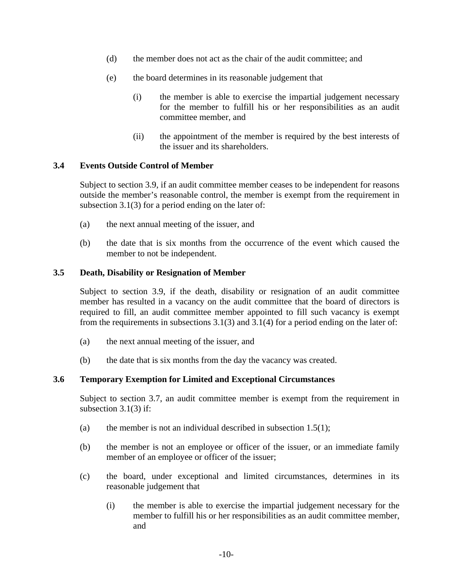- <span id="page-11-0"></span>(d) the member does not act as the chair of the audit committee; and
- (e) the board determines in its reasonable judgement that
	- (i) the member is able to exercise the impartial judgement necessary for the member to fulfill his or her responsibilities as an audit committee member, and
	- (ii) the appointment of the member is required by the best interests of the issuer and its shareholders.

### **3.4 Events Outside Control of Member**

Subject to section 3.9, if an audit committee member ceases to be independent for reasons outside the member's reasonable control, the member is exempt from the requirement in subsection 3.1(3) for a period ending on the later of:

- (a) the next annual meeting of the issuer, and
- (b) the date that is six months from the occurrence of the event which caused the member to not be independent.

### **3.5 Death, Disability or Resignation of Member**

Subject to section 3.9, if the death, disability or resignation of an audit committee member has resulted in a vacancy on the audit committee that the board of directors is required to fill, an audit committee member appointed to fill such vacancy is exempt from the requirements in subsections 3.1(3) and 3.1(4) for a period ending on the later of:

- (a) the next annual meeting of the issuer, and
- (b) the date that is six months from the day the vacancy was created.

### **3.6 Temporary Exemption for Limited and Exceptional Circumstances**

Subject to section 3.7, an audit committee member is exempt from the requirement in subsection 3.1(3) if:

- (a) the member is not an individual described in subsection  $1.5(1)$ ;
- (b) the member is not an employee or officer of the issuer, or an immediate family member of an employee or officer of the issuer;
- (c) the board, under exceptional and limited circumstances, determines in its reasonable judgement that
	- (i) the member is able to exercise the impartial judgement necessary for the member to fulfill his or her responsibilities as an audit committee member, and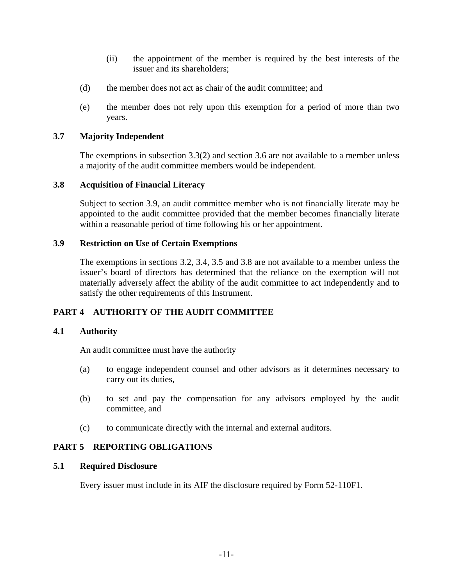- (ii) the appointment of the member is required by the best interests of the issuer and its shareholders;
- <span id="page-12-0"></span>(d) the member does not act as chair of the audit committee; and
- (e) the member does not rely upon this exemption for a period of more than two years.

### **3.7 Majority Independent**

The exemptions in subsection 3.3(2) and section 3.6 are not available to a member unless a majority of the audit committee members would be independent.

### **3.8 Acquisition of Financial Literacy**

Subject to section 3.9, an audit committee member who is not financially literate may be appointed to the audit committee provided that the member becomes financially literate within a reasonable period of time following his or her appointment.

### **3.9 Restriction on Use of Certain Exemptions**

The exemptions in sections 3.2, 3.4, 3.5 and 3.8 are not available to a member unless the issuer's board of directors has determined that the reliance on the exemption will not materially adversely affect the ability of the audit committee to act independently and to satisfy the other requirements of this Instrument.

### **PART 4 AUTHORITY OF THE AUDIT COMMITTEE**

### **4.1 Authority**

An audit committee must have the authority

- (a) to engage independent counsel and other advisors as it determines necessary to carry out its duties,
- (b) to set and pay the compensation for any advisors employed by the audit committee, and
- (c) to communicate directly with the internal and external auditors.

### **PART 5 REPORTING OBLIGATIONS**

### **5.1 Required Disclosure**

Every issuer must include in its AIF the disclosure required by Form 52-110F1.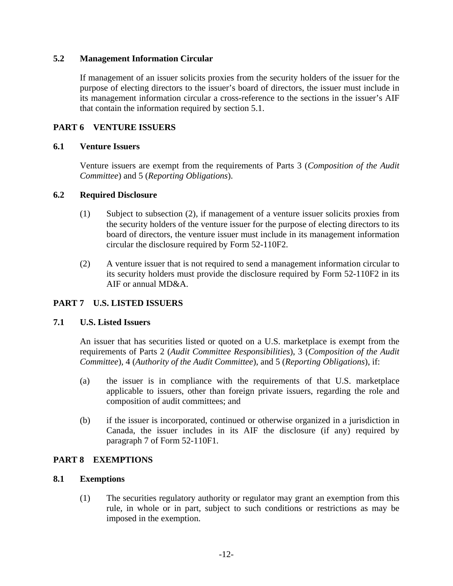### <span id="page-13-0"></span>**5.2 Management Information Circular**

If management of an issuer solicits proxies from the security holders of the issuer for the purpose of electing directors to the issuer's board of directors, the issuer must include in its management information circular a cross-reference to the sections in the issuer's AIF that contain the information required by section 5.1.

### **PART 6 VENTURE ISSUERS**

### **6.1 Venture Issuers**

Venture issuers are exempt from the requirements of Parts 3 (*Composition of the Audit Committee*) and 5 (*Reporting Obligations*).

### **6.2 Required Disclosure**

- (1) Subject to subsection (2), if management of a venture issuer solicits proxies from the security holders of the venture issuer for the purpose of electing directors to its board of directors, the venture issuer must include in its management information circular the disclosure required by Form 52-110F2.
- (2) A venture issuer that is not required to send a management information circular to its security holders must provide the disclosure required by Form 52-110F2 in its AIF or annual MD&A.

### **PART 7 U.S. LISTED ISSUERS**

### **7.1 U.S. Listed Issuers**

An issuer that has securities listed or quoted on a U.S. marketplace is exempt from the requirements of Parts 2 (*Audit Committee Responsibilities*), 3 (*Composition of the Audit Committee*), 4 (*Authority of the Audit Committee*), and 5 (*Reporting Obligations*), if:

- (a) the issuer is in compliance with the requirements of that U.S. marketplace applicable to issuers, other than foreign private issuers, regarding the role and composition of audit committees; and
- (b) if the issuer is incorporated, continued or otherwise organized in a jurisdiction in Canada, the issuer includes in its AIF the disclosure (if any) required by paragraph 7 of Form 52-110F1.

### **PART 8 EXEMPTIONS**

### **8.1 Exemptions**

(1) The securities regulatory authority or regulator may grant an exemption from this rule, in whole or in part, subject to such conditions or restrictions as may be imposed in the exemption.